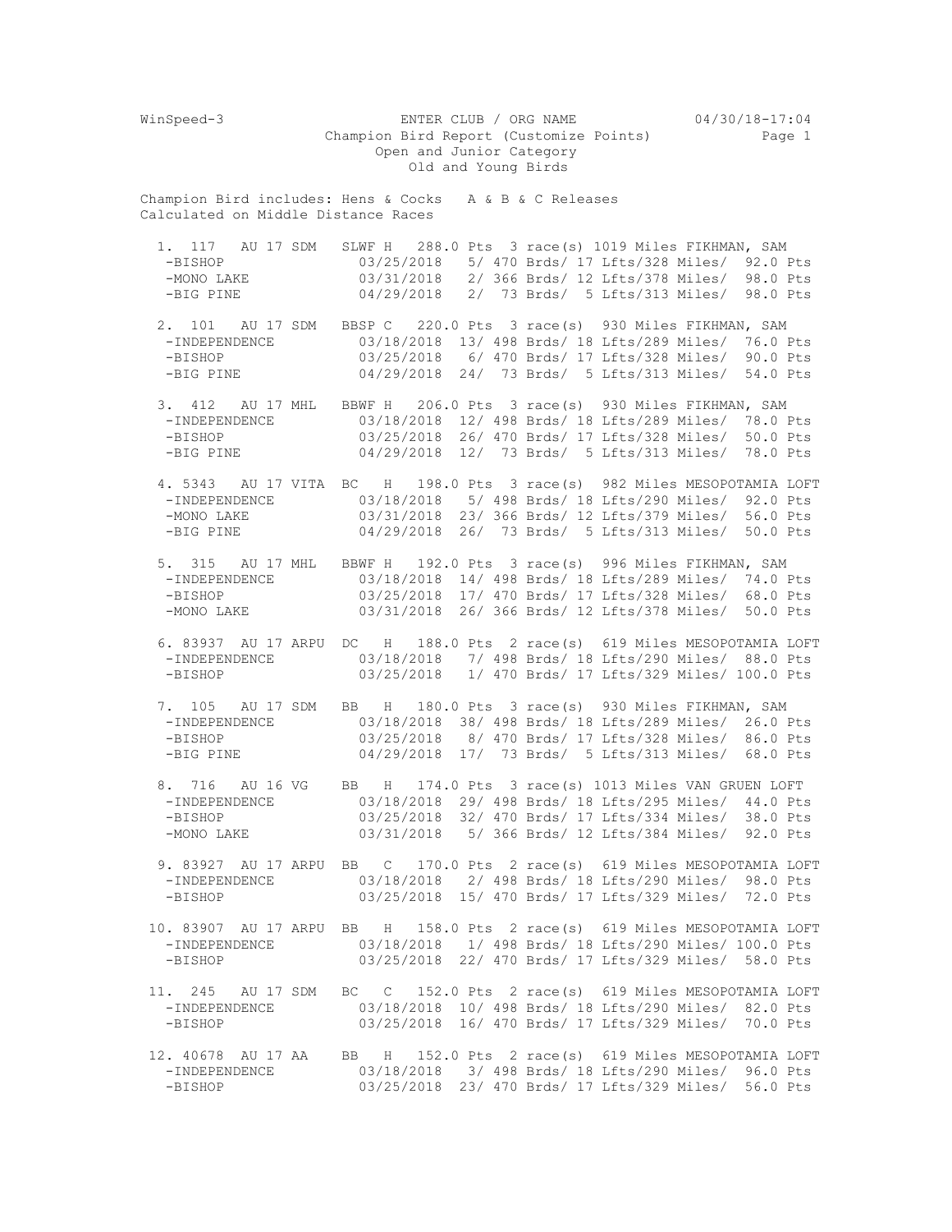WinSpeed-3 ENTER CLUB / ORG NAME 04/30/18-17:04 Champion Bird Report (Customize Points) Page 1 Open and Junior Category Old and Young Birds Champion Bird includes: Hens & Cocks A & B & C Releases Calculated on Middle Distance Races 1. 117 AU 17 SDM SLWF H 288.0 Pts 3 race(s) 1019 Miles FIKHMAN, SAM -BISHOP 03/25/2018 5/ 470 Brds/ 17 Lfts/328 Miles/ 92.0 I -BISHOP 03/25/2018 5/ 470 Brds/ 17 Lfts/328 Miles/ 92.0 Pts -MONO LAKE 03/31/2018 2/ 366 Brds/ 12 Lfts/378 Miles/ 98.0 Pts -BIG PINE 04/29/2018 2/ 73 Brds/ 5 Lfts/313 Miles/ 98.0 Pts 2. 101 AU 17 SDM BBSP C 220.0 Pts 3 race(s) 930 Miles FIKHMAN, SAM -INDEPENDENCE 03/18/2018 13/ 498 Brds/ 18 Lfts/289 Miles/ 76.0 Pts -BISHOP 03/25/2018 6/ 470 Brds/ 17 Lfts/328 Miles/ 90.0 Pts -BIG PINE 04/29/2018 24/ 73 Brds/ 5 Lfts/313 Miles/ 54.0 Pts 3. 412 AU 17 MHL BBWF H 206.0 Pts 3 race(s) 930 Miles FIKHMAN, SAM -INDEPENDENCE 03/18/2018 12/ 498 Brds/ 18 Lfts/289 Miles/ 78.0 Pts -BISHOP 03/25/2018 26/ 470 Brds/ 17 Lfts/328 Miles/ 50.0 Pts -BIG PINE 04/29/2018 12/ 73 Brds/ 5 Lfts/313 Miles/ 78.0 Pts 4. 5343 AU 17 VITA BC H 198.0 Pts 3 race(s) 982 Miles MESOPOTAMIA LOFT -INDEPENDENCE 03/18/2018 5/ 498 Brds/ 18 Lfts/290 Miles/ 92.0 Pts -MONO LAKE 03/31/2018 23/ 366 Brds/ 12 Lfts/379 Miles/ 56.0 Pts -BIG PINE 04/29/2018 26/ 73 Brds/ 5 Lfts/313 Miles/ 50.0 Pts 5. 315 AU 17 MHL BBWF H 192.0 Pts 3 race(s) 996 Miles FIKHMAN, SAM 03/18/2018 14/ 498 Brds/ 18 Lfts/289 Miles/ 74.0 Pts -BISHOP 03/25/2018 17/ 470 Brds/ 17 Lfts/328 Miles/ 68.0 Pts -MONO LAKE 03/31/2018 26/ 366 Brds/ 12 Lfts/378 Miles/ 50.0 Pts 6. 83937 AU 17 ARPU DC H 188.0 Pts 2 race(s) 619 Miles MESOPOTAMIA LOFT -INDEPENDENCE 03/18/2018 7/ 498 Brds/ 18 Lfts/290 Miles/ 88.0 Pts 03/25/2018 1/ 470 Brds/ 17 Lfts/329 Miles/ 100.0 Pts 7. 105 AU 17 SDM BB H 180.0 Pts 3 race(s) 930 Miles FIKHMAN, SAM -INDEPENDENCE 03/18/2018 38/ 498 Brds/ 18 Lfts/289 Miles/ 26.0 Pts -BISHOP 03/25/2018 8/ 470 Brds/ 17 Lfts/328 Miles/ 86.0 Pts -BIG PINE 04/29/2018 17/ 73 Brds/ 5 Lfts/313 Miles/ 68.0 Pts 8. 716 AU 16 VG BB H 174.0 Pts 3 race(s) 1013 Miles VAN GRUEN LOFT<br>-INDEPENDENCE 03/18/2018 29/ 498 Brds/ 18 Lfts/295 Miles/ 44.0 Pts -INDEPENDENCE 03/18/2018 29/ 498 Brds/ 18 Lfts/295 Miles/ 44.0 Pts<br>-BISHOP 03/25/2018 32/ 470 Brds/ 17 Lfts/334 Miles/ 38.0 Pts 03/25/2018 32/ 470 Brds/ 17 Lfts/334 Miles/ 38.0 Pts -MONO LAKE 03/31/2018 5/ 366 Brds/ 12 Lfts/384 Miles/ 92.0 Pts 9. 83927 AU 17 ARPU BB C 170.0 Pts 2 race(s) 619 Miles MESOPOTAMIA LOFT<br>-INDEPENDENCE 03/18/2018 2/ 498 Brds/ 18 Lfts/290 Miles/ 98.0 Pts -INDEPENDENCE 03/18/2018 2/ 498 Brds/ 18 Lfts/290 Miles/ 98.0 Pts -BISHOP 03/25/2018 15/ 470 Brds/ 17 Lfts/329 Miles/ 72.0 Pts 10. 83907 AU 17 ARPU BB H 158.0 Pts 2 race(s) 619 Miles MESOPOTAMIA LOFT -INDEPENDENCE 03/18/2018 1/ 498 Brds/ 18 Lfts/290 Miles/ 100.0 Pts -BISHOP 03/25/2018 22/ 470 Brds/ 17 Lfts/329 Miles/ 58.0 Pts 11. 245 AU 17 SDM BC C 152.0 Pts 2 race(s) 619 Miles MESOPOTAMIA LOFT -INDEPENDENCE 03/18/2018 10/ 498 Brds/ 18 Lfts/290 Miles/ 82.0 Pts -BISHOP 03/25/2018 16/ 470 Brds/ 17 Lfts/329 Miles/ 70.0 Pts 12. 40678 AU 17 AA BB H 152.0 Pts 2 race(s) 619 Miles MESOPOTAMIA LOFT -INDEPENDENCE 03/18/2018 3/ 498 Brds/ 18 Lfts/290 Miles/ 96.0 Pts 03/25/2018 23/ 470 Brds/ 17 Lfts/329 Miles/ 56.0 Pts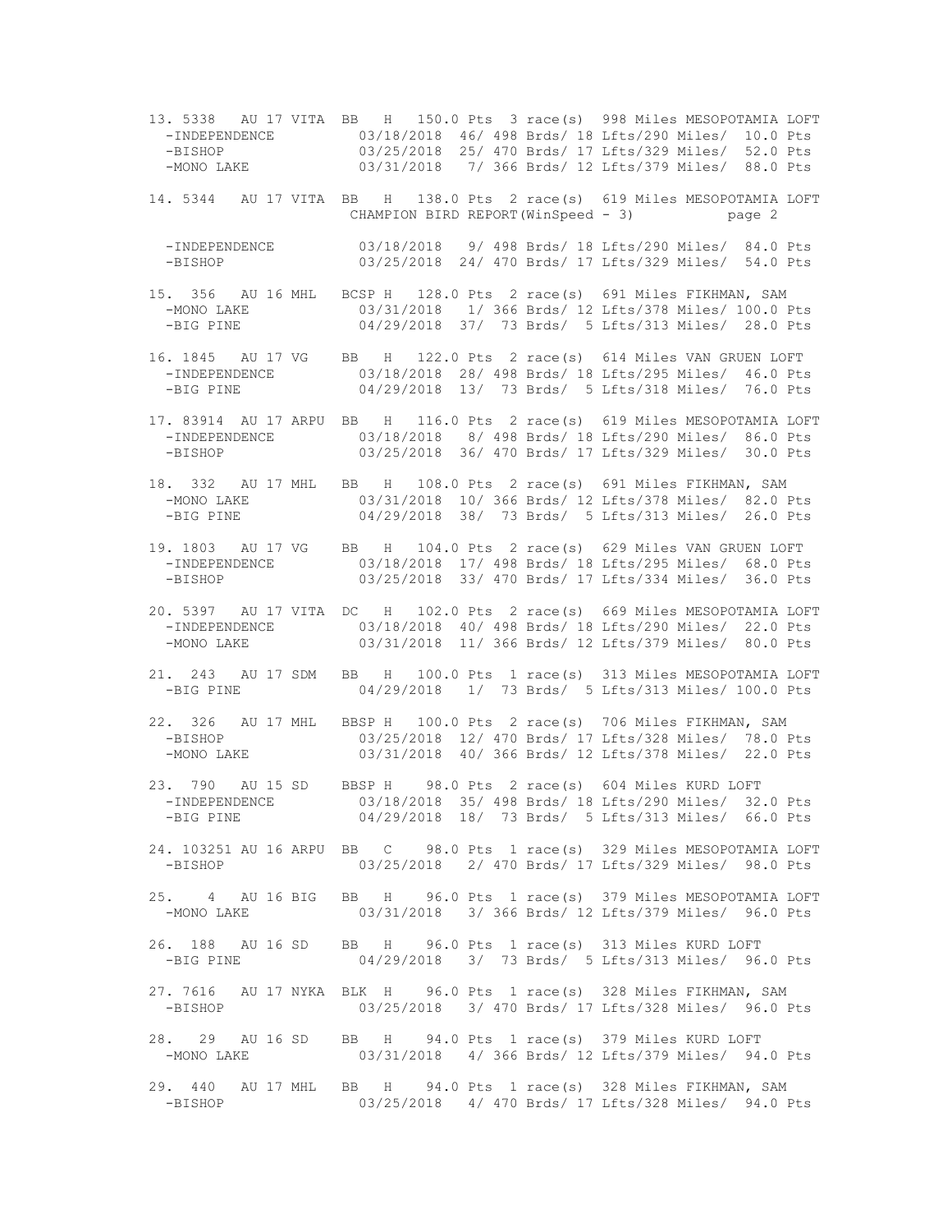13. 5338 AU 17 VITA BB H 150.0 Pts 3 race(s) 998 Miles MESOPOTAMIA LOFT -INDEPENDENCE 03/18/2018 46/ 498 Brds/ 18 Lfts/290 Miles/ 10.0 Pts -BISHOP 03/25/2018 25/ 470 Brds/ 17 Lfts/329 Miles/ 52.0 Pts -MONO LAKE 03/31/2018 7/ 366 Brds/ 12 Lfts/379 Miles/ 88.0 Pts 14. 5344 AU 17 VITA BB H 138.0 Pts 2 race(s) 619 Miles MESOPOTAMIA LOFT CHAMPION BIRD REPORT(WinSpeed - 3) page 2 -INDEPENDENCE 03/18/2018 9/ 498 Brds/ 18 Lfts/290 Miles/ 84.0 Pts -BISHOP 03/25/2018 24/ 470 Brds/ 17 Lfts/329 Miles/ 54.0 Pts 15. 356 AU 16 MHL BCSP H 128.0 Pts 2 race(s) 691 Miles FIKHMAN, SAM 03/31/2018 1/ 366 Brds/ 12 Lfts/378 Miles/ 100.0 Pts -BIG PINE 04/29/2018 37/ 73 Brds/ 5 Lfts/313 Miles/ 28.0 Pts 16. 1845 AU 17 VG BB H 122.0 Pts 2 race(s) 614 Miles VAN GRUEN LOFT 03/18/2018 28/ 498 Brds/ 18 Lfts/295 Miles/ 46.0 Pts -BIG PINE 04/29/2018 13/ 73 Brds/ 5 Lfts/318 Miles/ 76.0 Pts 17. 83914 AU 17 ARPU BB H 116.0 Pts 2 race(s) 619 Miles MESOPOTAMIA LOFT -INDEPENDENCE 03/18/2018 8/ 498 Brds/ 18 Lfts/290 Miles/ 86.0 Pts -BISHOP 03/25/2018 36/ 470 Brds/ 17 Lfts/329 Miles/ 30.0 Pts 18. 332 AU 17 MHL BB H 108.0 Pts 2 race(s) 691 Miles FIKHMAN, SAM -MONO LAKE  $03/31/2018$  10/ 366 Brds/ 12 Lfts/378 Miles/ 82.0 Pts -BIG PINE 04/29/2018 38/ 73 Brds/ 5 Lfts/313 Miles/ 26.0 Pts 19. 1803 AU 17 VG BB H 104.0 Pts 2 race(s) 629 Miles VAN GRUEN LOFT 03/18/2018 17/ 498 Brds/ 18 Lfts/295 Miles/ 68.0 Pts -BISHOP 03/25/2018 33/ 470 Brds/ 17 Lfts/334 Miles/ 36.0 Pts 20. 5397 AU 17 VITA DC H 102.0 Pts 2 race(s) 669 Miles MESOPOTAMIA LOFT -INDEPENDENCE 03/18/2018 40/ 498 Brds/ 18 Lfts/290 Miles/ 22.0 Pts<br>-MONO LAKE 03/31/2018 11/ 366 Brds/ 12 Lfts/379 Miles/ 80.0 Pts 03/31/2018 11/ 366 Brds/ 12 Lfts/379 Miles/ 80.0 Pts 21. 243 AU 17 SDM BB H 100.0 Pts 1 race(s) 313 Miles MESOPOTAMIA LOFT 04/29/2018 1/ 73 Brds/ 5 Lfts/313 Miles/ 100.0 Pts 22. 326 AU 17 MHL BBSP H 100.0 Pts 2 race(s) 706 Miles FIKHMAN, SAM -BISHOP 03/25/2018 12/ 470 Brds/ 17 Lfts/328 Miles/ 78.0 Pts -MONO LAKE 03/31/2018 40/ 366 Brds/ 12 Lfts/378 Miles/ 22.0 Pts 23. 790 AU 15 SD BBSP H 98.0 Pts 2 race(s) 604 Miles KURD LOFT -INDEPENDENCE 03/18/2018 35/ 498 Brds/ 18 Lfts/290 Miles/ 32.0 Pts -BIG PINE 04/29/2018 18/ 73 Brds/ 5 Lfts/313 Miles/ 66.0 Pts 24. 103251 AU 16 ARPU BB C 98.0 Pts 1 race(s) 329 Miles MESOPOTAMIA LOFT -BISHOP 03/25/2018 2/ 470 Brds/ 17 Lfts/329 Miles/ 98.0 Pts 25. 4 AU 16 BIG BB H 96.0 Pts 1 race(s) 379 Miles MESOPOTAMIA LOFT -MONO LAKE 03/31/2018 3/ 366 Brds/ 12 Lfts/379 Miles/ 96.0 Pts 26. 188 AU 16 SD BB H 96.0 Pts 1 race(s) 313 Miles KURD LOFT -BIG PINE 04/29/2018 3/ 73 Brds/ 5 Lfts/313 Miles/ 96.0 Pts 27. 7616 AU 17 NYKA BLK H 96.0 Pts 1 race(s) 328 Miles FIKHMAN, SAM -BISHOP 03/25/2018 3/ 470 Brds/ 17 Lfts/328 Miles/ 96.0 Pts 28. 29 AU 16 SD BB H 94.0 Pts 1 race(s) 379 Miles KURD LOFT -MONO LAKE 03/31/2018 4/ 366 Brds/ 12 Lfts/379 Miles/ 94.0 Pts 29. 440 AU 17 MHL BB H 94.0 Pts 1 race(s) 328 Miles FIKHMAN, SAM 03/25/2018 4/ 470 Brds/ 17 Lfts/328 Miles/ 94.0 Pts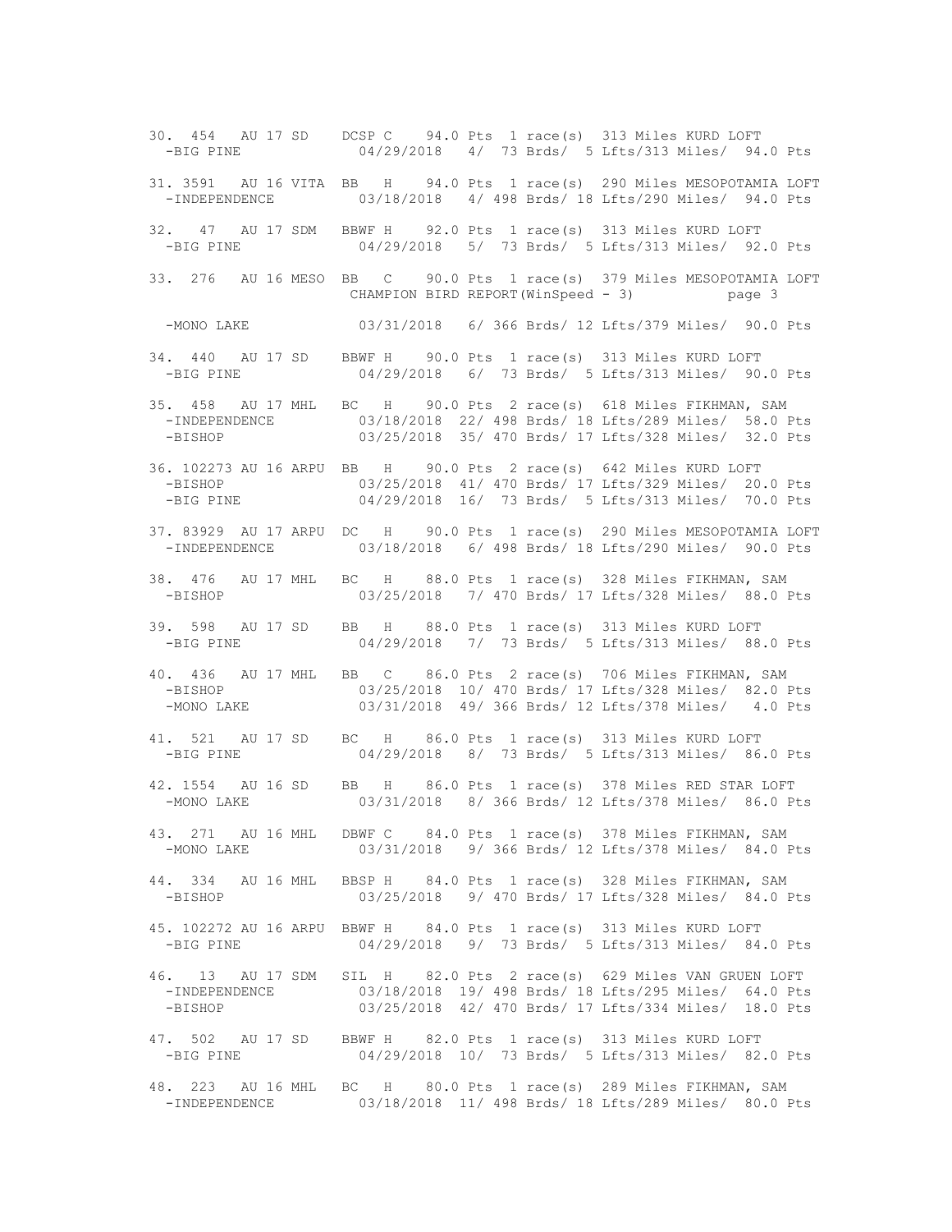30. 454 AU 17 SD DCSP C 94.0 Pts 1 race(s) 313 Miles KURD LOFT -BIG PINE 04/29/2018 4/ 73 Brds/ 5 Lfts/313 Miles/ 94.0 Pts 31. 3591 AU 16 VITA BB H 94.0 Pts 1 race(s) 290 Miles MESOPOTAMIA LOFT -INDEPENDENCE 03/18/2018 4/ 498 Brds/ 18 Lfts/290 Miles/ 94.0 Pts 32. 47 AU 17 SDM BBWF H 92.0 Pts 1 race(s) 313 Miles KURD LOFT 04/29/2018 5/ 73 Brds/ 5 Lfts/313 Miles/ 92.0 Pts 33. 276 AU 16 MESO BB C 90.0 Pts 1 race(s) 379 Miles MESOPOTAMIA LOFT CHAMPION BIRD REPORT(WinSpeed - 3) page 3 -MONO LAKE 03/31/2018 6/ 366 Brds/ 12 Lfts/379 Miles/ 90.0 Pts 34. 440 AU 17 SD BBWF H 90.0 Pts 1 race(s) 313 Miles KURD LOFT -BIG PINE 04/29/2018 6/ 73 Brds/ 5 Lfts/313 Miles/ 90.0 Pts 35. 458 AU 17 MHL BC H 90.0 Pts 2 race(s) 618 Miles FIKHMAN, SAM -INDEPENDENCE 03/18/2018 22/ 498 Brds/ 18 Lfts/289 Miles/ 58.0 Pts<br>-BISHOP 03/25/2018 35/ 470 Brds/ 17 Lfts/328 Miles/ 32.0 Pts 03/25/2018 35/ 470 Brds/ 17 Lfts/328 Miles/ 32.0 Pts 36. 102273 AU 16 ARPU BB H 90.0 Pts 2 race(s) 642 Miles KURD LOFT -BISHOP 03/25/2018 41/ 470 Brds/ 17 Lfts/329 Miles/ 20.0 Pts -BIG PINE 04/29/2018 16/ 73 Brds/ 5 Lfts/313 Miles/ 70.0 Pts 37. 83929 AU 17 ARPU DC H 90.0 Pts 1 race(s) 290 Miles MESOPOTAMIA LOFT 03/18/2018 6/ 498 Brds/ 18 Lfts/290 Miles/ 90.0 Pts 38. 476 AU 17 MHL BC H 88.0 Pts 1 race(s) 328 Miles FIKHMAN, SAM -BISHOP 03/25/2018 7/ 470 Brds/ 17 Lfts/328 Miles/ 88.0 Pts 39. 598 AU 17 SD BB H 88.0 Pts 1 race(s) 313 Miles KURD LOFT -BIG PINE 04/29/2018 7/ 73 Brds/ 5 Lfts/313 Miles/ 88.0 Pts 40. 436 AU 17 MHL BB C 86.0 Pts 2 race(s) 706 Miles FIKHMAN, SAM -BISHOP 03/25/2018 10/ 470 Brds/ 17 Lfts/328 Miles/ 82.0 Pts -MONO LAKE 03/31/2018 49/ 366 Brds/ 12 Lfts/378 Miles/ 4.0 Pts 41. 521 AU 17 SD BC H 86.0 Pts 1 race(s) 313 Miles KURD LOFT -BIG PINE 04/29/2018 8/ 73 Brds/ 5 Lfts/313 Miles/ 86.0 Pts 42. 1554 AU 16 SD BB H 86.0 Pts 1 race(s) 378 Miles RED STAR LOFT -MONO LAKE 03/31/2018 8/ 366 Brds/ 12 Lfts/378 Miles/ 86.0 Pts 43. 271 AU 16 MHL DBWF C 84.0 Pts 1 race(s) 378 Miles FIKHMAN, SAM -MONO LAKE 03/31/2018 9/ 366 Brds/ 12 Lfts/378 Miles/ 84.0 Pts 44. 334 AU 16 MHL BBSP H 84.0 Pts 1 race(s) 328 Miles FIKHMAN, SAM 03/25/2018 9/ 470 Brds/ 17 Lfts/328 Miles/ 84.0 Pts 45. 102272 AU 16 ARPU BBWF H 84.0 Pts 1 race(s) 313 Miles KURD LOFT -BIG PINE 04/29/2018 9/ 73 Brds/ 5 Lfts/313 Miles/ 84.0 Pts 46. 13 AU 17 SDM SIL H 82.0 Pts 2 race(s) 629 Miles VAN GRUEN LOFT 03/18/2018 19/ 498 Brds/ 18 Lfts/295 Miles/ 64.0 Pts -BISHOP 03/25/2018 42/ 470 Brds/ 17 Lfts/334 Miles/ 18.0 Pts 47. 502 AU 17 SD BBWF H 82.0 Pts 1 race(s) 313 Miles KURD LOFT -BIG PINE 04/29/2018 10/ 73 Brds/ 5 Lfts/313 Miles/ 82.0 Pts 48. 223 AU 16 MHL BC H 80.0 Pts 1 race(s) 289 Miles FIKHMAN, SAM 03/18/2018 11/ 498 Brds/ 18 Lfts/289 Miles/ 80.0 Pts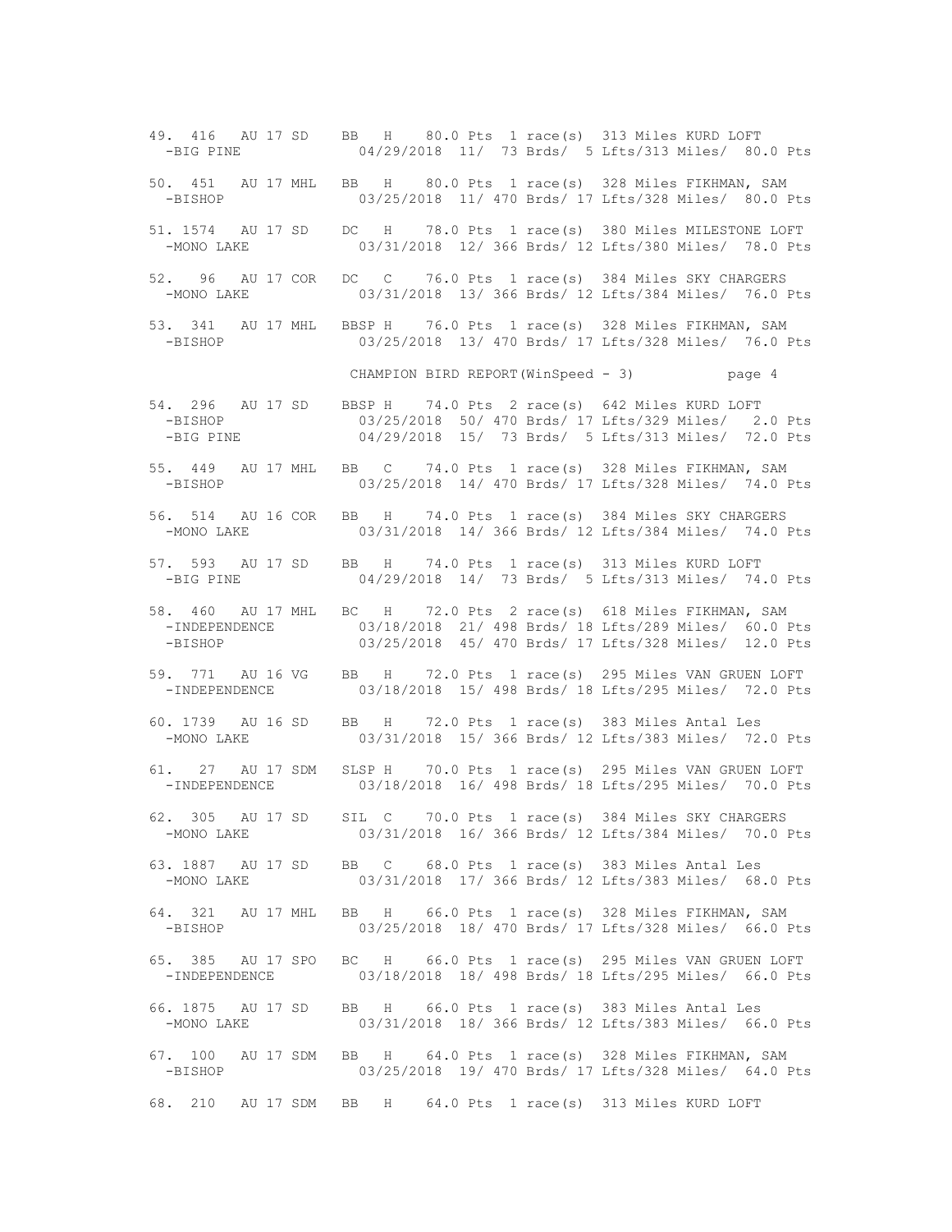49. 416 AU 17 SD BB H 80.0 Pts 1 race(s) 313 Miles KURD LOFT -BIG PINE 04/29/2018 11/ 73 Brds/ 5 Lfts/313 Miles/ 80.0 Pts 50. 451 AU 17 MHL BB H 80.0 Pts 1 race(s) 328 Miles FIKHMAN, SAM -BISHOP 03/25/2018 11/ 470 Brds/ 17 Lfts/328 Miles/ 80.0 Pts 51. 1574 AU 17 SD DC H 78.0 Pts 1 race(s) 380 Miles MILESTONE LOFT -MONO LAKE 03/31/2018 12/ 366 Brds/ 12 Lfts/380 Miles/ 78.0 Pts 52. 96 AU 17 COR DC C 76.0 Pts 1 race(s) 384 Miles SKY CHARGERS -MONO LAKE 03/31/2018 13/ 366 Brds/ 12 Lfts/384 Miles/ 76.0 Pts 53. 341 AU 17 MHL BBSP H 76.0 Pts 1 race(s) 328 Miles FIKHMAN, SAM 03/25/2018 13/ 470 Brds/ 17 Lfts/328 Miles/ 76.0 Pts CHAMPION BIRD REPORT(WinSpeed - 3) page 4 54. 296 AU 17 SD BBSP H 74.0 Pts 2 race(s) 642 Miles KURD LOFT<br>-BISHOP 03/25/2018 50/470 Brds/17 Lfts/329 Miles/2. -BISHOP 03/25/2018 50/ 470 Brds/ 17 Lfts/329 Miles/ 2.0 Pts<br>-BIG PINE 04/29/2018 15/ 73 Brds/ 5 Lfts/313 Miles/ 72.0 Pts 04/29/2018 15/ 73 Brds/ 5 Lfts/313 Miles/ 72.0 Pts 55. 449 AU 17 MHL BB C 74.0 Pts 1 race(s) 328 Miles FIKHMAN, SAM -BISHOP 03/25/2018 14/ 470 Brds/ 17 Lfts/328 Miles/ 74.0 Pts 56. 514 AU 16 COR BB H 74.0 Pts 1 race(s) 384 Miles SKY CHARGERS -MONO LAKE 03/31/2018 14/ 366 Brds/ 12 Lfts/384 Miles/ 74.0 Pts 57. 593 AU 17 SD BB H 74.0 Pts 1 race(s) 313 Miles KURD LOFT -BIG PINE 04/29/2018 14/ 73 Brds/ 5 Lfts/313 Miles/ 74.0 Pts 58. 460 AU 17 MHL BC H 72.0 Pts 2 race(s) 618 Miles FIKHMAN, SAM -INDEPENDENCE 03/18/2018 21/ 498 Brds/ 18 Lfts/289 Miles/ 60.0 Pts -BISHOP 03/25/2018 45/ 470 Brds/ 17 Lfts/328 Miles/ 12.0 Pts 59. 771 AU 16 VG BB H 72.0 Pts 1 race(s) 295 Miles VAN GRUEN LOFT 03/18/2018 15/ 498 Brds/ 18 Lfts/295 Miles/ 72.0 Pts 60. 1739 AU 16 SD BB H 72.0 Pts 1 race(s) 383 Miles Antal Les -MONO LAKE 03/31/2018 15/ 366 Brds/ 12 Lfts/383 Miles/ 72.0 Pts 61. 27 AU 17 SDM SLSP H 70.0 Pts 1 race(s) 295 Miles VAN GRUEN LOFT 03/18/2018 16/ 498 Brds/ 18 Lfts/295 Miles/ 70.0 Pts 62. 305 AU 17 SD SIL C 70.0 Pts 1 race(s) 384 Miles SKY CHARGERS -MONO LAKE 03/31/2018 16/ 366 Brds/ 12 Lfts/384 Miles/ 70.0 Pts 63. 1887 AU 17 SD BB C 68.0 Pts 1 race(s) 383 Miles Antal Les -MONO LAKE 03/31/2018 17/ 366 Brds/ 12 Lfts/383 Miles/ 68.0 Pts 64. 321 AU 17 MHL BB H 66.0 Pts 1 race(s) 328 Miles FIKHMAN, SAM -BISHOP 03/25/2018 18/ 470 Brds/ 17 Lfts/328 Miles/ 66.0 Pts 65. 385 AU 17 SPO BC H 66.0 Pts 1 race(s) 295 Miles VAN GRUEN LOFT -INDEPENDENCE 03/18/2018 18/ 498 Brds/ 18 Lfts/295 Miles/ 66.0 Pts 66. 1875 AU 17 SD BB H 66.0 Pts 1 race(s) 383 Miles Antal Les -MONO LAKE 03/31/2018 18/ 366 Brds/ 12 Lfts/383 Miles/ 66.0 Pts 67. 100 AU 17 SDM BB H 64.0 Pts 1 race(s) 328 Miles FIKHMAN, SAM -BISHOP 03/25/2018 19/ 470 Brds/ 17 Lfts/328 Miles/ 64.0 Pts 68. 210 AU 17 SDM BB H 64.0 Pts 1 race(s) 313 Miles KURD LOFT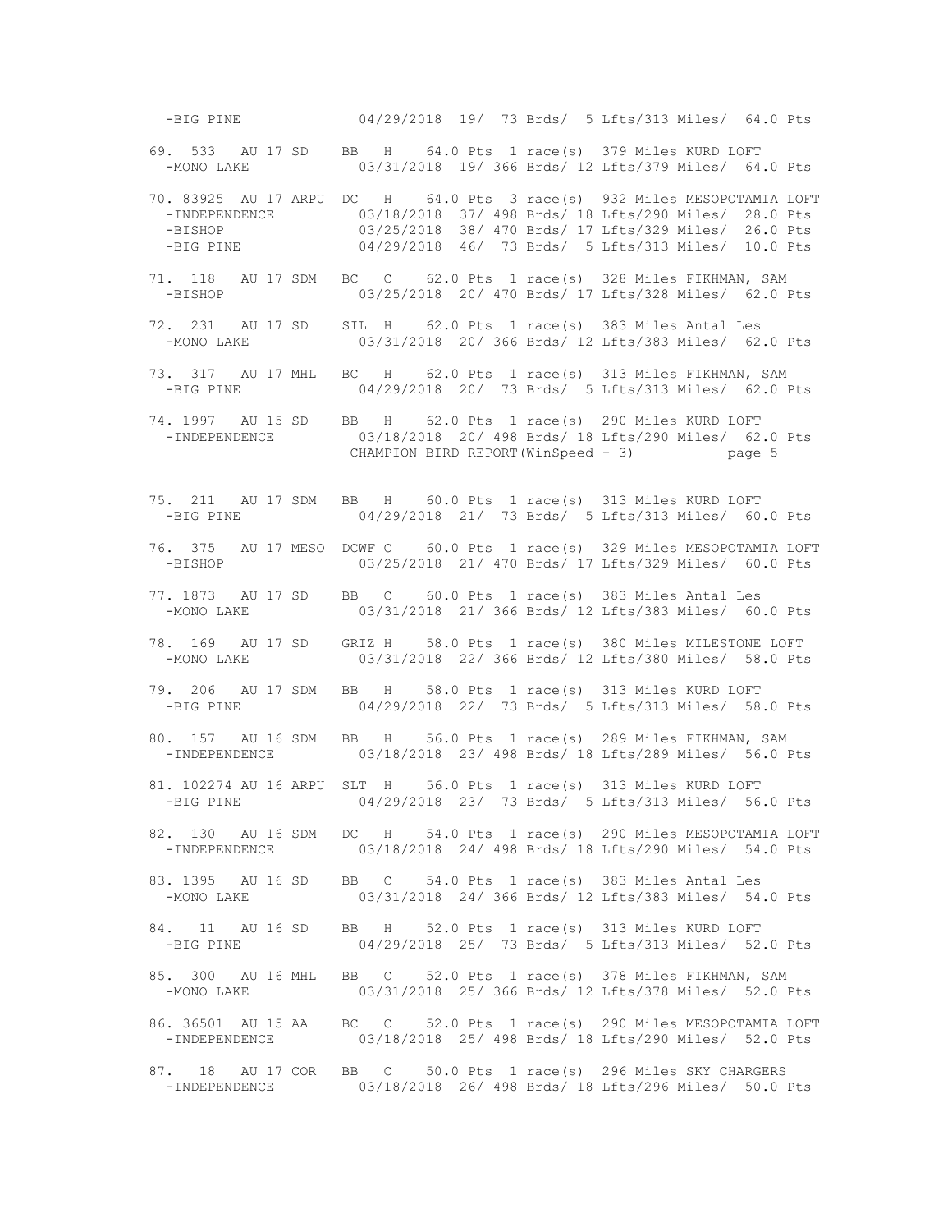-BIG PINE 04/29/2018 19/ 73 Brds/ 5 Lfts/313 Miles/ 64.0 Pts 69. 533 AU 17 SD BB H 64.0 Pts 1 race(s) 379 Miles KURD LOFT -MONO LAKE 03/31/2018 19/ 366 Brds/ 12 Lfts/379 Miles/ 64.0 Pts 70. 83925 AU 17 ARPU DC H 64.0 Pts 3 race(s) 932 Miles MESOPOTAMIA LOFT -INDEPENDENCE 03/18/2018 37/ 498 Brds/ 18 Lfts/290 Miles/ 28.0 Pts -BISHOP 03/25/2018 38/ 470 Brds/ 17 Lfts/329 Miles/ 26.0 Pts -BIG PINE 04/29/2018 46/ 73 Brds/ 5 Lfts/313 Miles/ 10.0 Pts 71. 118 AU 17 SDM BC C 62.0 Pts 1 race(s) 328 Miles FIKHMAN, SAM -BISHOP 03/25/2018 20/ 470 Brds/ 17 Lfts/328 Miles/ 62.0 Pts 72. 231 AU 17 SD SIL H 62.0 Pts 1 race(s) 383 Miles Antal Les 03/31/2018 20/ 366 Brds/ 12 Lfts/383 Miles/ 62.0 Pts 73. 317 AU 17 MHL BC H 62.0 Pts 1 race(s) 313 Miles FIKHMAN, SAM -BIG PINE 04/29/2018 20/ 73 Brds/ 5 Lfts/313 Miles/ 62.0 Pts 74. 1997 AU 15 SD BB H 62.0 Pts 1 race(s) 290 Miles KURD LOFT 03/18/2018 20/ 498 Brds/ 18 Lfts/290 Miles/ 62.0 Pts CHAMPION BIRD REPORT(WinSpeed - 3) page 5 75. 211 AU 17 SDM BB H 60.0 Pts 1 race(s) 313 Miles KURD LOFT -BIG PINE 04/29/2018 21/ 73 Brds/ 5 Lfts/313 Miles/ 60.0 Pts 76. 375 AU 17 MESO DCWF C 60.0 Pts 1 race(s) 329 Miles MESOPOTAMIA LOFT 03/25/2018 21/ 470 Brds/ 17 Lfts/329 Miles/ 60.0 Pts 77. 1873 AU 17 SD BB C 60.0 Pts 1 race(s) 383 Miles Antal Les -MONO LAKE 03/31/2018 21/ 366 Brds/ 12 Lfts/383 Miles/ 60.0 Pts 78. 169 AU 17 SD GRIZ H 58.0 Pts 1 race(s) 380 Miles MILESTONE LOFT 03/31/2018 22/ 366 Brds/ 12 Lfts/380 Miles/ 58.0 Pts 79. 206 AU 17 SDM BB H 58.0 Pts 1 race(s) 313 Miles KURD LOFT -BIG PINE 04/29/2018 22/ 73 Brds/ 5 Lfts/313 Miles/ 58.0 Pts 80. 157 AU 16 SDM BB H 56.0 Pts 1 race(s) 289 Miles FIKHMAN, SAM -INDEPENDENCE 03/18/2018 23/ 498 Brds/ 18 Lfts/289 Miles/ 56.0 Pts 81. 102274 AU 16 ARPU SLT H 56.0 Pts 1 race(s) 313 Miles KURD LOFT -BIG PINE 04/29/2018 23/ 73 Brds/ 5 Lfts/313 Miles/ 56.0 Pts 82. 130 AU 16 SDM DC H 54.0 Pts 1 race(s) 290 Miles MESOPOTAMIA LOFT -INDEPENDENCE 03/18/2018 24/ 498 Brds/ 18 Lfts/290 Miles/ 54.0 Pts 83. 1395 AU 16 SD BB C 54.0 Pts 1 race(s) 383 Miles Antal Les<br>-MONO LAKE 03/31/2018 24/ 366 Brds/ 12 Lfts/383 Miles/ 54 03/31/2018 24/ 366 Brds/ 12 Lfts/383 Miles/ 54.0 Pts 84. 11 AU 16 SD BB H 52.0 Pts 1 race(s) 313 Miles KURD LOFT -BIG PINE 04/29/2018 25/ 73 Brds/ 5 Lfts/313 Miles/ 52.0 Pts 85. 300 AU 16 MHL BB C 52.0 Pts 1 race(s) 378 Miles FIKHMAN, SAM 03/31/2018 25/ 366 Brds/ 12 Lfts/378 Miles/ 52.0 Pts 86. 36501 AU 15 AA BC C 52.0 Pts 1 race(s) 290 Miles MESOPOTAMIA LOFT -INDEPENDENCE 03/18/2018 25/ 498 Brds/ 18 Lfts/290 Miles/ 52.0 Pts 87. 18 AU 17 COR BB C 50.0 Pts 1 race(s) 296 Miles SKY CHARGERS -INDEPENDENCE 03/18/2018 26/ 498 Brds/ 18 Lfts/296 Miles/ 50.0 Pts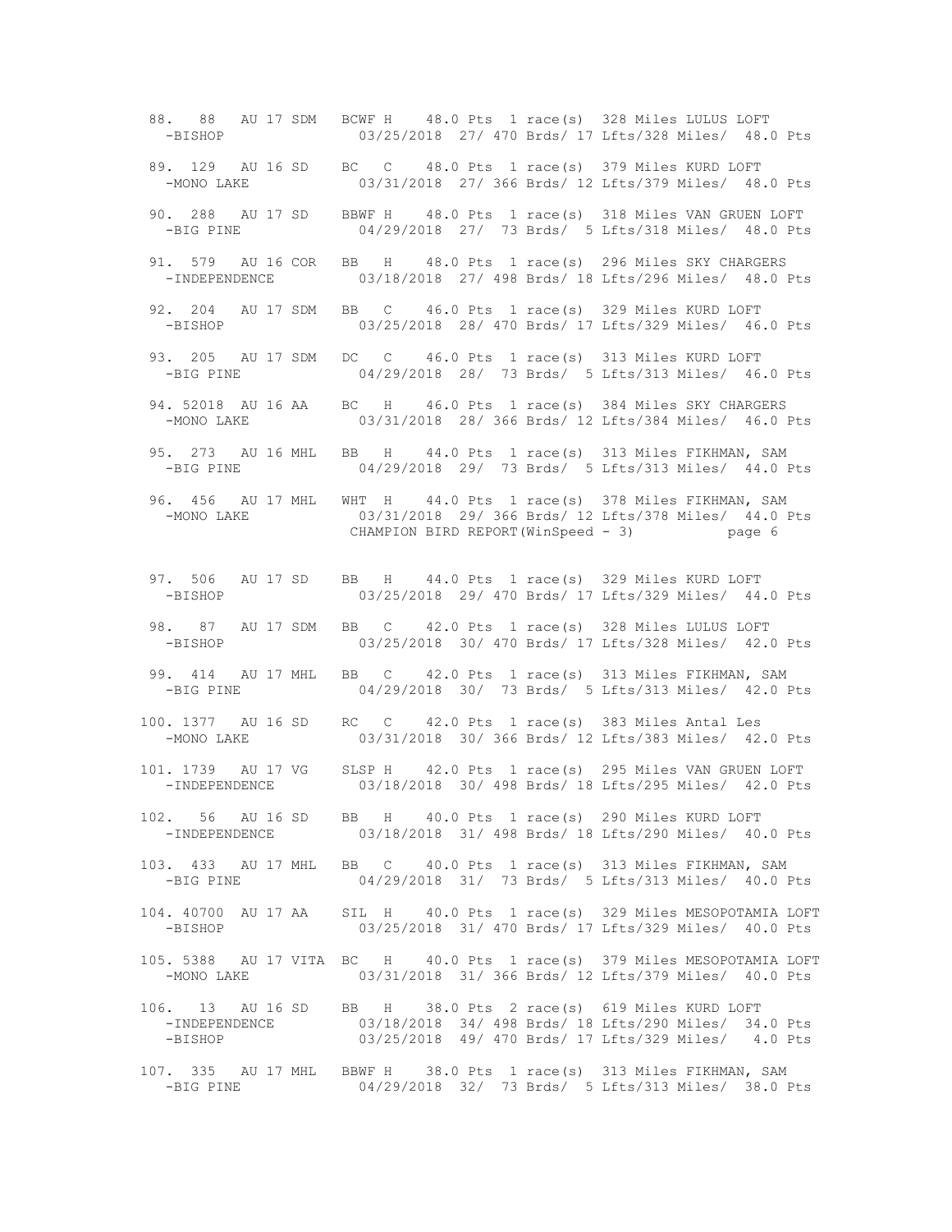88. 88 AU 17 SDM BCWF H 48.0 Pts 1 race(s) 328 Miles LULUS LOFT -BISHOP 03/25/2018 27/ 470 Brds/ 17 Lfts/328 Miles/ 48.0 Pts 89. 129 AU 16 SD BC C 48.0 Pts 1 race(s) 379 Miles KURD LOFT -MONO LAKE 03/31/2018 27/ 366 Brds/ 12 Lfts/379 Miles/ 48.0 Pts 90. 288 AU 17 SD BBWF H 48.0 Pts 1 race(s) 318 Miles VAN GRUEN LOFT -BIG PINE 04/29/2018 27/ 73 Brds/ 5 Lfts/318 Miles/ 48.0 Pts 91. 579 AU 16 COR BB H 48.0 Pts 1 race(s) 296 Miles SKY CHARGERS -INDEPENDENCE 03/18/2018 27/ 498 Brds/ 18 Lfts/296 Miles/ 48.0 Pts 92. 204 AU 17 SDM BB C 46.0 Pts 1 race(s) 329 Miles KURD LOFT -BISHOP 03/25/2018 28/ 470 Brds/ 17 Lfts/329 Miles/ 46.0 Pts 93. 205 AU 17 SDM DC C 46.0 Pts 1 race(s) 313 Miles KURD LOFT -BIG PINE 04/29/2018 28/ 73 Brds/ 5 Lfts/313 Miles/ 46.0 Pts 94. 52018 AU 16 AA BC H 46.0 Pts 1 race(s) 384 Miles SKY CHARGERS 03/31/2018 28/ 366 Brds/ 12 Lfts/384 Miles/ 46.0 Pts 95. 273 AU 16 MHL BB H 44.0 Pts 1 race(s) 313 Miles FIKHMAN, SAM -BIG PINE 04/29/2018 29/ 73 Brds/ 5 Lfts/313 Miles/ 44.0 Pts 96. 456 AU 17 MHL WHT H 44.0 Pts 1 race(s) 378 Miles FIKHMAN, SAM -MONO LAKE 03/31/2018 29/ 366 Brds/ 12 Lfts/378 Miles/ 44.0 Pts CHAMPION BIRD REPORT(WinSpeed - 3) page 6 97. 506 AU 17 SD BB H 44.0 Pts 1 race(s) 329 Miles KURD LOFT -BISHOP 03/25/2018 29/ 470 Brds/ 17 Lfts/329 Miles/ 44.0 Pts 98. 87 AU 17 SDM BB C 42.0 Pts 1 race(s) 328 Miles LULUS LOFT -BISHOP 03/25/2018 30/ 470 Brds/ 17 Lfts/328 Miles/ 42.0 Pts 99. 414 AU 17 MHL BB C 42.0 Pts 1 race(s) 313 Miles FIKHMAN, SAM 04/29/2018 30/ 73 Brds/ 5 Lfts/313 Miles/ 42.0 Pts 100. 1377 AU 16 SD RC C 42.0 Pts 1 race(s) 383 Miles Antal Les -MONO LAKE 03/31/2018 30/ 366 Brds/ 12 Lfts/383 Miles/ 42.0 Pts 101. 1739 AU 17 VG SLSP H 42.0 Pts 1 race(s) 295 Miles VAN GRUEN LOFT 03/18/2018 30/ 498 Brds/ 18 Lfts/295 Miles/ 42.0 Pts 102. 56 AU 16 SD BB H 40.0 Pts 1 race(s) 290 Miles KURD LOFT -INDEPENDENCE 03/18/2018 31/ 498 Brds/ 18 Lfts/290 Miles/ 40.0 Pts 103. 433 AU 17 MHL BB C 40.0 Pts 1 race(s) 313 Miles FIKHMAN, SAM 04/29/2018 31/ 73 Brds/ 5 Lfts/313 Miles/ 40.0 Pts 104. 40700 AU 17 AA SIL H 40.0 Pts 1 race(s) 329 Miles MESOPOTAMIA LOFT -BISHOP 03/25/2018 31/ 470 Brds/ 17 Lfts/329 Miles/ 40.0 Pts 105. 5388 AU 17 VITA BC H 40.0 Pts 1 race(s) 379 Miles MESOPOTAMIA LOFT -MONO LAKE 03/31/2018 31/ 366 Brds/ 12 Lfts/379 Miles/ 40.0 Pts 106. 13 AU 16 SD BB H 38.0 Pts 2 race(s) 619 Miles KURD LOFT -INDEPENDENCE 03/18/2018 34/ 498 Brds/ 18 Lfts/290 Miles/ 34.0 Pts -BISHOP 03/25/2018 49/ 470 Brds/ 17 Lfts/329 Miles/ 4.0 Pts 107. 335 AU 17 MHL BBWF H 38.0 Pts 1 race(s) 313 Miles FIKHMAN, SAM 04/29/2018 32/ 73 Brds/ 5 Lfts/313 Miles/ 38.0 Pts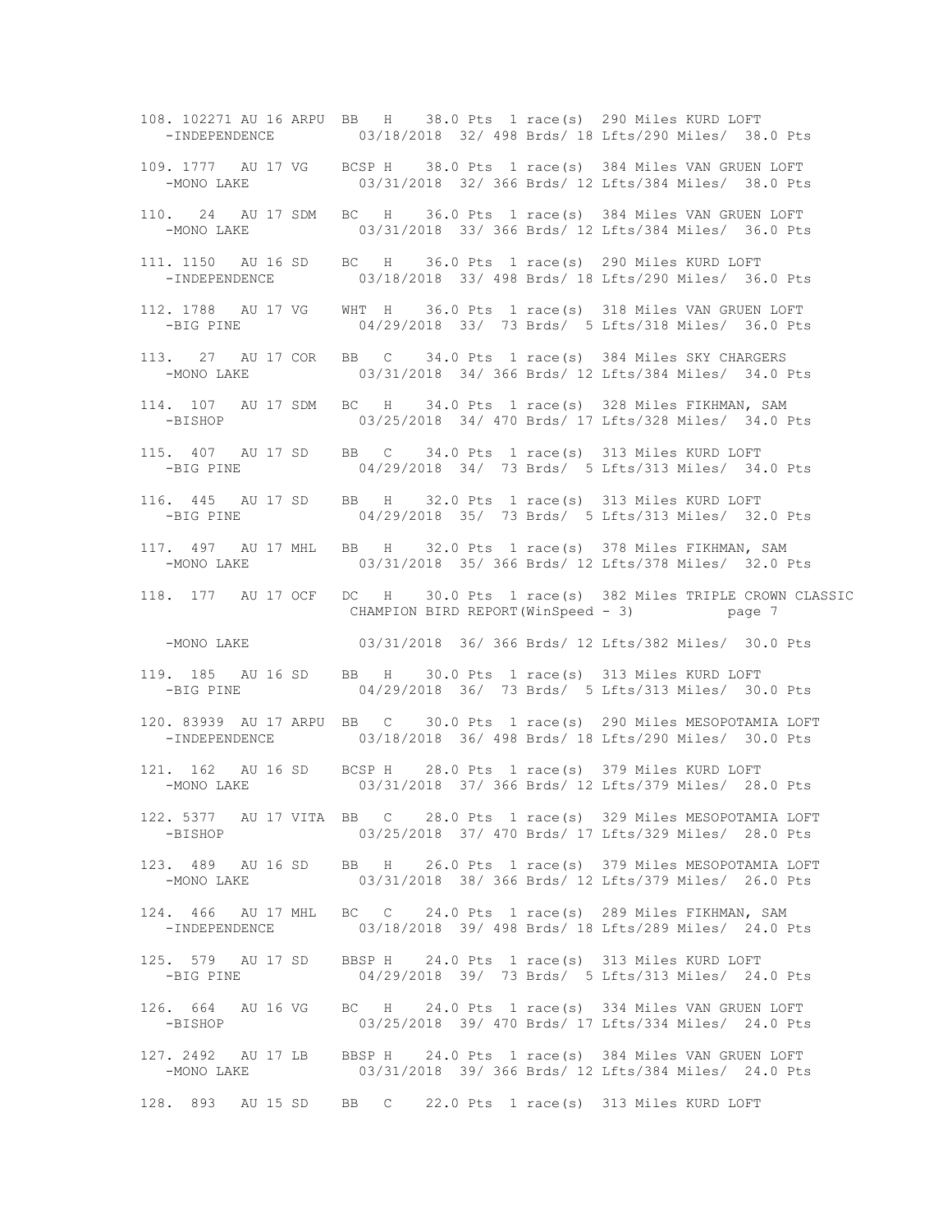108. 102271 AU 16 ARPU BB H 38.0 Pts 1 race(s) 290 Miles KURD LOFT -INDEPENDENCE 03/18/2018 32/ 498 Brds/ 18 Lfts/290 Miles/ 38.0 Pts 109. 1777 AU 17 VG BCSP H 38.0 Pts 1 race(s) 384 Miles VAN GRUEN LOFT -MONO LAKE 03/31/2018 32/ 366 Brds/ 12 Lfts/384 Miles/ 38.0 Pts 110. 24 AU 17 SDM BC H 36.0 Pts 1 race(s) 384 Miles VAN GRUEN LOFT -MONO LAKE 03/31/2018 33/ 366 Brds/ 12 Lfts/384 Miles/ 36.0 Pts 111. 1150 AU 16 SD BC H 36.0 Pts 1 race(s) 290 Miles KURD LOFT -INDEPENDENCE 03/18/2018 33/ 498 Brds/ 18 Lfts/290 Miles/ 36.0 Pts 112. 1788 AU 17 VG WHT H 36.0 Pts 1 race(s) 318 Miles VAN GRUEN LOFT -BIG PINE 04/29/2018 33/ 73 Brds/ 5 Lfts/318 Miles/ 36.0 Pts 113. 27 AU 17 COR BB C 34.0 Pts 1 race(s) 384 Miles SKY CHARGERS -MONO LAKE 03/31/2018 34/ 366 Brds/ 12 Lfts/384 Miles/ 34.0 Pts 114. 107 AU 17 SDM BC H 34.0 Pts 1 race(s) 328 Miles FIKHMAN, SAM 03/25/2018 34/ 470 Brds/ 17 Lfts/328 Miles/ 34.0 Pts 115. 407 AU 17 SD BB C 34.0 Pts 1 race(s) 313 Miles KURD LOFT -BIG PINE 04/29/2018 34/ 73 Brds/ 5 Lfts/313 Miles/ 34.0 Pts 116. 445 AU 17 SD BB H 32.0 Pts 1 race(s) 313 Miles KURD LOFT -BIG PINE 04/29/2018 35/ 73 Brds/ 5 Lfts/313 Miles/ 32.0 Pts 117. 497 AU 17 MHL BB H 32.0 Pts 1 race(s) 378 Miles FIKHMAN, SAM 03/31/2018 35/ 366 Brds/ 12 Lfts/378 Miles/ 32.0 Pts 118. 177 AU 17 OCF DC H 30.0 Pts 1 race(s) 382 Miles TRIPLE CROWN CLASSIC CHAMPION BIRD REPORT(WinSpeed - 3) page 7 -MONO LAKE 03/31/2018 36/ 366 Brds/ 12 Lfts/382 Miles/ 30.0 Pts 119. 185 AU 16 SD BB H 30.0 Pts 1 race(s) 313 Miles KURD LOFT<br>-BIG PINE 04/29/2018 36/ 73 Brds/ 5 Lfts/313 Miles/ 30 04/29/2018 36/ 73 Brds/ 5 Lfts/313 Miles/ 30.0 Pts 120. 83939 AU 17 ARPU BB C 30.0 Pts 1 race(s) 290 Miles MESOPOTAMIA LOFT -INDEPENDENCE 03/18/2018 36/ 498 Brds/ 18 Lfts/290 Miles/ 30.0 Pts 121. 162 AU 16 SD BCSP H 28.0 Pts 1 race(s) 379 Miles KURD LOFT -MONO LAKE 03/31/2018 37/ 366 Brds/ 12 Lfts/379 Miles/ 28.0 Pts 122. 5377 AU 17 VITA BB C 28.0 Pts 1 race(s) 329 Miles MESOPOTAMIA LOFT -BISHOP 03/25/2018 37/ 470 Brds/ 17 Lfts/329 Miles/ 28.0 Pts 123. 489 AU 16 SD BB H 26.0 Pts 1 race(s) 379 Miles MESOPOTAMIA LOFT -MONO LAKE 03/31/2018 38/ 366 Brds/ 12 Lfts/379 Miles/ 26.0 Pts 124. 466 AU 17 MHL BC C 24.0 Pts 1 race(s) 289 Miles FIKHMAN, SAM -INDEPENDENCE 03/18/2018 39/ 498 Brds/ 18 Lfts/289 Miles/ 24.0 Pts 125. 579 AU 17 SD BBSP H 24.0 Pts 1 race(s) 313 Miles KURD LOFT -BIG PINE 04/29/2018 39/ 73 Brds/ 5 Lfts/313 Miles/ 24.0 Pts 126. 664 AU 16 VG BC H 24.0 Pts 1 race(s) 334 Miles VAN GRUEN LOFT -BISHOP 03/25/2018 39/ 470 Brds/ 17 Lfts/334 Miles/ 24.0 Pts 127. 2492 AU 17 LB BBSP H 24.0 Pts 1 race(s) 384 Miles VAN GRUEN LOFT -MONO LAKE 03/31/2018 39/ 366 Brds/ 12 Lfts/384 Miles/ 24.0 Pts 128. 893 AU 15 SD BB C 22.0 Pts 1 race(s) 313 Miles KURD LOFT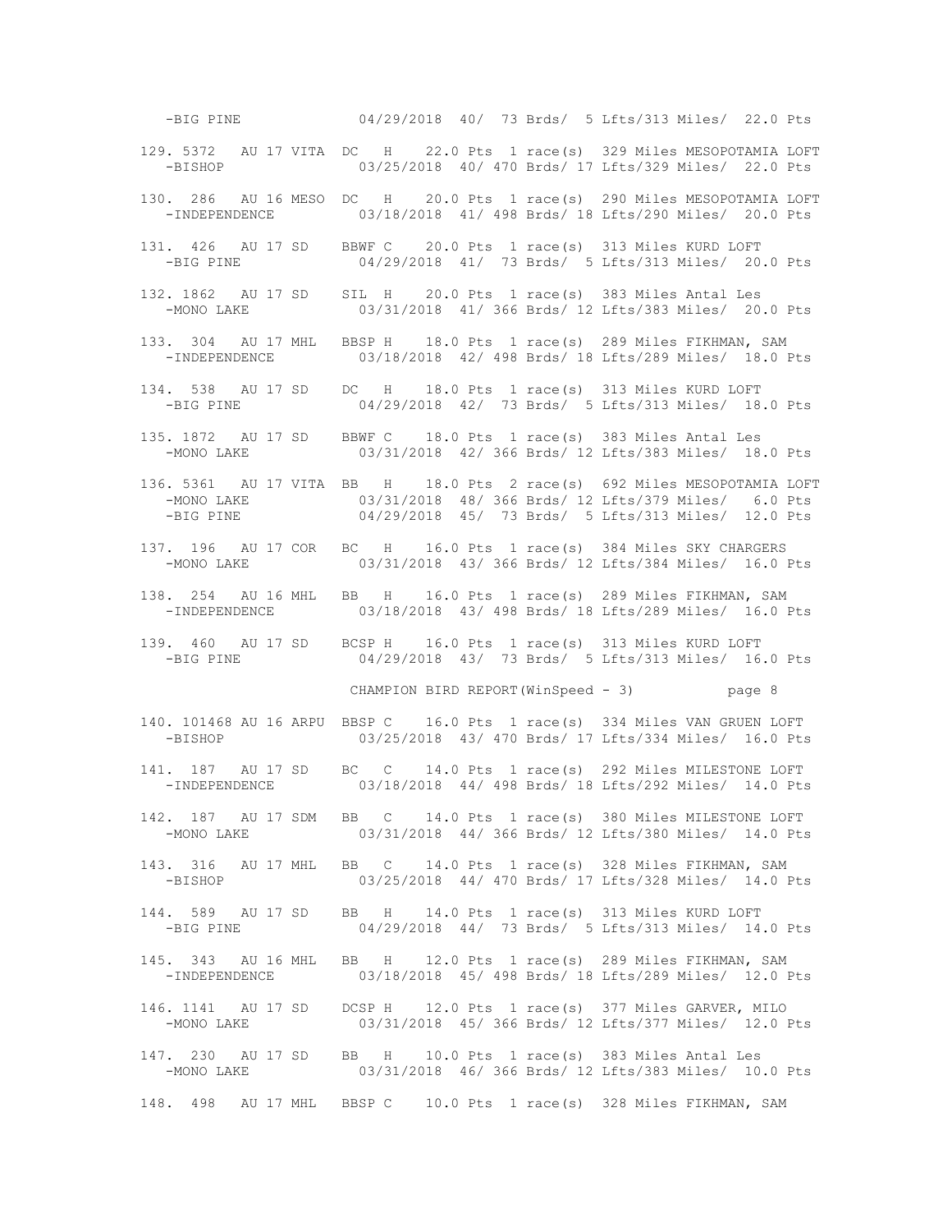-BIG PINE 04/29/2018 40/ 73 Brds/ 5 Lfts/313 Miles/ 22.0 Pts 129. 5372 AU 17 VITA DC H 22.0 Pts 1 race(s) 329 Miles MESOPOTAMIA LOFT -BISHOP 03/25/2018 40/ 470 Brds/ 17 Lfts/329 Miles/ 22.0 Pts 130. 286 AU 16 MESO DC H 20.0 Pts 1 race(s) 290 Miles MESOPOTAMIA LOFT 03/18/2018 41/ 498 Brds/ 18 Lfts/290 Miles/ 20.0 Pts 131. 426 AU 17 SD BBWF C 20.0 Pts 1 race(s) 313 Miles KURD LOFT -BIG PINE 04/29/2018 41/ 73 Brds/ 5 Lfts/313 Miles/ 20.0 Pts 132. 1862 AU 17 SD SIL H 20.0 Pts 1 race(s) 383 Miles Antal Les -MONO LAKE 03/31/2018 41/ 366 Brds/ 12 Lfts/383 Miles/ 20.0 Pts 133. 304 AU 17 MHL BBSP H 18.0 Pts 1 race(s) 289 Miles FIKHMAN, SAM -INDEPENDENCE 03/18/2018 42/ 498 Brds/ 18 Lfts/289 Miles/ 18.0 Pts 134. 538 AU 17 SD DC H 18.0 Pts 1 race(s) 313 Miles KURD LOFT -BIG PINE 04/29/2018 42/ 73 Brds/ 5 Lfts/313 Miles/ 18.0 Pts 135. 1872 AU 17 SD BBWF C 18.0 Pts 1 race(s) 383 Miles Antal Les 03/31/2018 42/ 366 Brds/ 12 Lfts/383 Miles/ 18.0 Pts 136. 5361 AU 17 VITA BB H 18.0 Pts 2 race(s) 692 Miles MESOPOTAMIA LOFT -MONO LAKE 03/31/2018 48/ 366 Brds/ 12 Lfts/379 Miles/ 6.0 Pts -BIG PINE 04/29/2018 45/ 73 Brds/ 5 Lfts/313 Miles/ 12.0 Pts 137. 196 AU 17 COR BC H 16.0 Pts 1 race(s) 384 Miles SKY CHARGERS<br>-MONO LAKE 03/31/2018 43/ 366 Brds/ 12 Lfts/384 Miles/ 16.0 P 03/31/2018 43/ 366 Brds/ 12 Lfts/384 Miles/ 16.0 Pts 138. 254 AU 16 MHL BB H 16.0 Pts 1 race(s) 289 Miles FIKHMAN, SAM -INDEPENDENCE 03/18/2018 43/ 498 Brds/ 18 Lfts/289 Miles/ 16.0 Pts 139. 460 AU 17 SD BCSP H 16.0 Pts 1 race(s) 313 Miles KURD LOFT<br>-BIG PINE 04/29/2018 43/ 73 Brds/ 5 Lfts/313 Miles/ 16 04/29/2018 43/ 73 Brds/ 5 Lfts/313 Miles/ 16.0 Pts CHAMPION BIRD REPORT(WinSpeed - 3) page 8 140. 101468 AU 16 ARPU BBSP C 16.0 Pts 1 race(s) 334 Miles VAN GRUEN LOFT -BISHOP 03/25/2018 43/ 470 Brds/ 17 Lfts/334 Miles/ 16.0 Pts 141. 187 AU 17 SD BC C 14.0 Pts 1 race(s) 292 Miles MILESTONE LOFT -INDEPENDENCE 03/18/2018 44/ 498 Brds/ 18 Lfts/292 Miles/ 14.0 Pts 142. 187 AU 17 SDM BB C 14.0 Pts 1 race(s) 380 Miles MILESTONE LOFT -MONO LAKE 03/31/2018 44/ 366 Brds/ 12 Lfts/380 Miles/ 14.0 Pts 143. 316 AU 17 MHL BB C 14.0 Pts 1 race(s) 328 Miles FIKHMAN, SAM -BISHOP 03/25/2018 44/ 470 Brds/ 17 Lfts/328 Miles/ 14.0 Pts 144. 589 AU 17 SD BB H 14.0 Pts 1 race(s) 313 Miles KURD LOFT -BIG PINE 04/29/2018 44/ 73 Brds/ 5 Lfts/313 Miles/ 14.0 Pts 145. 343 AU 16 MHL BB H 12.0 Pts 1 race(s) 289 Miles FIKHMAN, SAM -INDEPENDENCE 03/18/2018 45/ 498 Brds/ 18 Lfts/289 Miles/ 12.0 Pts 146. 1141 AU 17 SD DCSP H 12.0 Pts 1 race(s) 377 Miles GARVER, MILO -MONO LAKE 03/31/2018 45/ 366 Brds/ 12 Lfts/377 Miles/ 12.0 Pts 147. 230 AU 17 SD BB H 10.0 Pts 1 race(s) 383 Miles Antal Les -MONO LAKE 03/31/2018 46/ 366 Brds/ 12 Lfts/383 Miles/ 10.0 Pts 148. 498 AU 17 MHL BBSP C 10.0 Pts 1 race(s) 328 Miles FIKHMAN, SAM